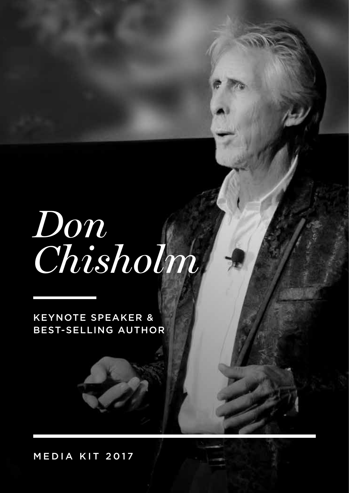# *Don Chisholm*

KEYNOTE SPEAKER & BEST-SELLING AUTHOR

MEDIA KIT 2017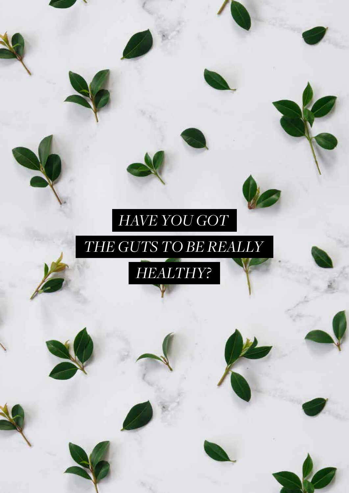# *HAVE YOU GOT*

# *THE GUTS TO BE REALLY*



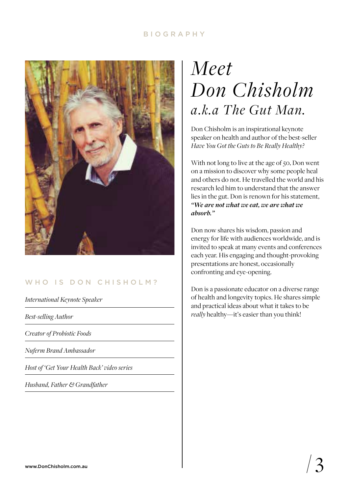#### BIOGRAPHY



### WHO IS DON CHISHOLM?

*International Keynote Speaker*

*[Best-selling Author](http://www.probioticfoods.com.au/shop/books-more/got-guts-book)*

*[Creator of Probiotic Foods](http://www.probioticfoods.com.au)*

*[Nuferm Brand Ambassador](http://www.nuferm.com)*

*[Host of 'Get Your Health Back' video series](https://www.youtube.com/playlist?list=PLvhvxecGkYFf2QNSPciNgKXItmEZ_-i28)*

*Husband, Father & Grandfather*

## *Meet Don Chisholm a.k.a The Gut Man.*

Don Chisholm is an inspirational keynote speaker on health and author of the best-seller *Have You Got the Guts to Be Really Healthy?*

With not long to live at the age of 50, Don went on a mission to discover why some people heal and others do not. He travelled the world and his research led him to understand that the answer lies in the gut. Don is renown for his statement, *"We are not what we eat, we are what we absorb."*

Don now shares his wisdom, passion and energy for life with audiences worldwide, and is invited to speak at many events and conferences each year. His engaging and thought-provoking presentations are honest, occasionally confronting and eye-opening.

Don is a passionate educator on a diverse range of health and longevity topics. He shares simple and practical ideas about what it takes to be *really* healthy—it's easier than you think!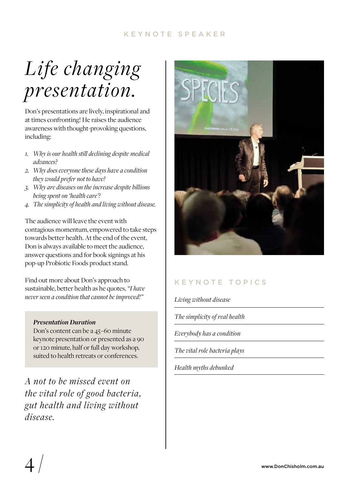### KEYNOTE SPEAKER

# *Life changing presentation.*

Don's presentations are lively, inspirational and at times confronting! He raises the audience awareness with thought-provoking questions, including:

- *1. Why is our health still declining despite medical advances?*
- *2. Why does everyone these days have a condition they would prefer not to have?*
- *3. Why are diseases on the increase despite billions being spent on 'health care'?*
- *4. The simplicity of health and living without disease.*

The audience will leave the event with contagious momentum, empowered to take steps towards better health. At the end of the event, Don is always available to meet the audience, answer questions and for book signings at his pop-up Probiotic Foods product stand.

Find out more about Don's approach to sustainable, better health as he quotes, *"I have never seen a condition that cannot be improved!"*

#### *Presentation Duration*

Don's content can be a 45–60 minute keynote presentation or presented as a 90 or 120 minute, half or full day workshop, suited to health retreats or conferences.

*A not to be missed event on the vital role of good bacteria, gut health and living without disease.*



### K E Y N O T E T O P I C S

*Living without disease*

*The simplicity of real health*

*Everybody has a condition*

*The vital role bacteria plays*

*Health myths debunked*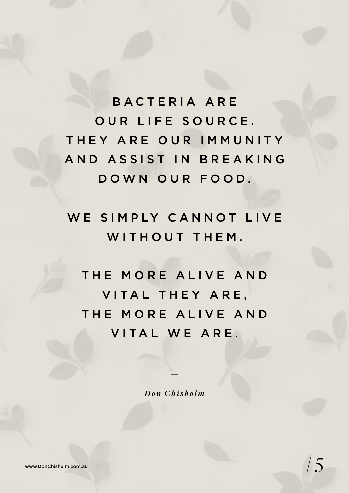BACTERIA ARE OUR LIFE SOURCE. THEY ARE OUR IMMUNITY AND ASSIST IN BREAKING DOWN OUR FOOD.

WE SIMPLY CANNOT LIVE WITHOUT THEM.

THE MORE ALIVE AND VITAL THEY ARE, THE MORE ALIVE AND VITAL WE ARE.

*Don Chisholm*

*—*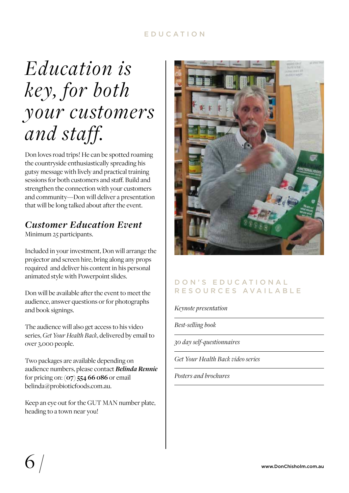### EDUCATION

# *Education is key, for both your customers and staff.*

Don loves road trips! He can be spotted roaming the countryside enthusiastically spreading his gutsy message with lively and practical training sessions for both customers and staff. Build and strengthen the connection with your customers and community—Don will deliver a presentation that will be long talked about after the event.

### *Customer Education Event*

Minimum 25 participants.

Included in your investment, Don will arrange the projector and screen hire, bring along any props required and deliver his content in his personal animated style with Powerpoint slides.

Don will be available after the event to meet the audience, answer questions or for photographs and book signings.

The audience will also get access to his video series, *Get Your Health Back*, delivered by email to over 3,000 people.

Two packages are available depending on audience numbers, please contact *Belinda Rennie* for pricing on: **(07) 554 66 086** or email belinda@probioticfoods.com.au.

Keep an eye out for the GUT MAN number plate, heading to a town near you!



### DON'S EDUCATIONAL R E S O U R C E S A V A I L A B L E

*Keynote presentation*

*[Best-selling book](http://www.probioticfoods.com.au/shop/books-more/got-guts-book)*

*[30 day self-questionnaires](http://probioticfoodswholesale.com/wp-content/uploads/2017/03/ProbioticFoods_Self-Check_Questionnaire.pdf)*

*[Get Your Health Back video series](https://www.youtube.com/playlist?list=PLvhvxecGkYFf2QNSPciNgKXItmEZ_-i28)*

*[Posters and brochures](http://probioticfoodswholesale.com/marketing-tools/)*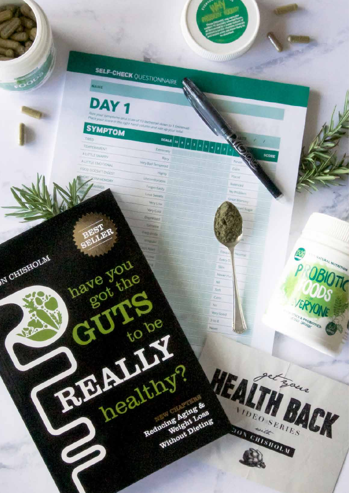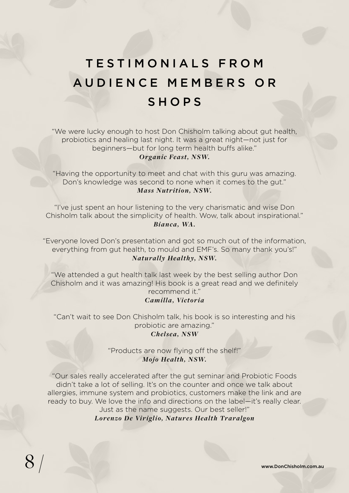### T E S T I M O N I A L S F R O M AUDIENCE MEMBERS OR SHOPS

"We were lucky enough to host Don Chisholm talking about gut health, probiotics and healing last night. It was a great night—not just for beginners—but for long term health buffs alike." *Organic Feast, NSW.*

"Having the opportunity to meet and chat with this guru was amazing. Don's knowledge was second to none when it comes to the gut." *Mass Nutrition, NSW.*

"I've just spent an hour listening to the very charismatic and wise Don Chisholm talk about the simplicity of health. Wow, talk about inspirational." *Bianca , WA.*

"Everyone loved Don's presentation and got so much out of the information, everything from gut health, to mould and EMF's. So many thank you's!" *Naturally Healthy, NSW.*

"We attended a gut health talk last week by the best selling author Don Chisholm and it was amazing! His book is a great read and we definitely recommend it."

### *Camilla, Victoria*

"Can't wait to see Don Chisholm talk, his book is so interesting and his probiotic are amazing." *Chelsea, NSW*

> "Products are now flying off the shelf!" *Mojo Health, NSW.*

"Our sales really accelerated after the gut seminar and Probiotic Foods didn't take a lot of selling. It's on the counter and once we talk about allergies, immune system and probiotics, customers make the link and are ready to buy. We love the info and directions on the label—it's really clear. Just as the name suggests. Our best seller!" *Lorenzo De Viriglio, Natures Health Traralgon*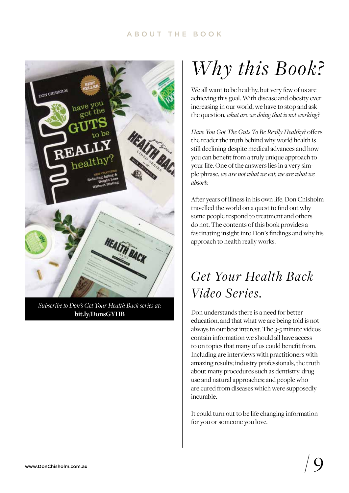### ABOUT THE BOOK



*Subscribe to Don's Get Your Health Back series at:* **bit.ly/DonsGYHB**

# *Why this Book?*

We all want to be healthy, but very few of us are achieving this goal. With disease and obesity ever increasing in our world, we have to stop and ask the question, *what are we doing that is not working?*

*Have You Got The Guts To Be Really Healthy?* offers the reader the truth behind why world health is still declining despite medical advances and how you can benefit from a truly unique approach to your life. One of the answers lies in a very simple phrase, *we are not what we eat, we are what we absorb.*

After years of illness in his own life, Don Chisholm travelled the world on a quest to find out why some people respond to treatment and others do not. The contents of this book provides a fascinating insight into Don's findings and why his approach to health really works.

### *Get Your Health Back Video Series.*

Don understands there is a need for better education, and that what we are being told is not always in our best interest. The 3-5 minute videos contain information we should all have access to on topics that many of us could benefit from. Including are interviews with practitioners with amazing results; industry professionals, the truth about many procedures such as dentistry, drug use and natural approaches; and people who are cured from diseases which were supposedly incurable.

It could turn out to be life changing information for you or someone you love.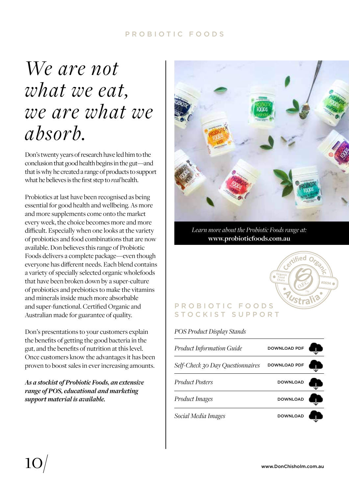### PROBIOTIC FOODS

# We are not *what we eat, we are what we absorb.*

Don's twenty years of research have led him to the conclusion that good health begins in the gut—and that is why he created a range of products to support what he believes is the first step to *real* health.

Probiotics at last have been recognised as being essential for good health and wellbeing. As more and more supplements come onto the market every week, the choice becomes more and more difficult. Especially when one looks at the variety of probiotics and food combinations that are now available. Don believes this range of Probiotic Foods delivers a complete package—even though everyone has different needs. Each blend contains a variety of specially selected organic wholefoods that have been broken down by a super-culture of probiotics and prebiotics to make the vitamins and minerals inside much more absorbable and super-functional. Certified Organic and Australian made for guarantee of quality.

Don's presentations to your customers explain the benefits of getting the good bacteria in the gut, and the benefits of nutrition at this level. Once customers know the advantages it has been proven to boost sales in ever increasing amounts.

*As a stockist of Probiotic Foods, an extensive range of POS, educational and marketing support material is available.* 



*[Learn more about the Probiotic Foods range at:](http://probioticfoods.com.au)* **www.probioticfoods.com.au**

### PROBIOTIC FOODS STOCKIST SUPPORT

### *[POS Product Display Stands](http://probioticfoodswholesale.com/product/display-stand/) [Product Information Guide](http://probioticfoodswholesale.com/wp-content/uploads/2017/03/ProbioticFoods_Information_Guide_For_Users_FEB16.pdf)  [Self-Check 30 Day Questionnaires](http://probioticfoodswholesale.com/wp-content/uploads/2017/03/ProbioticFoods_Self-Check_Questionnaire.pdf) [Product Posters](http://probioticfoodswholesale.com/marketing-tools/)  [Product Images](http://probioticfoodswholesale.com/marketing-tools/)  [Social Media Images](http://probioticfoodswholesale.com/marketing-tools/)* DOWNLOAD PDF DOWNLOAD PDF DOWNLOAD DOWNLOAD DOWNLOAD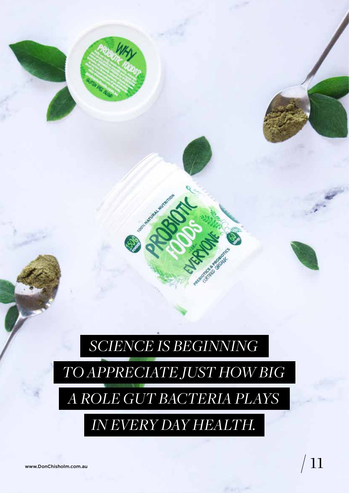